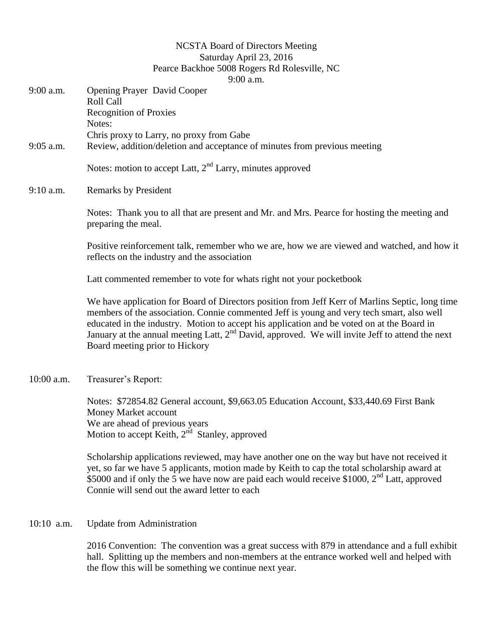## NCSTA Board of Directors Meeting Saturday April 23, 2016 Pearce Backhoe 5008 Rogers Rd Rolesville, NC 9:00 a.m.

|              | 9.00 a.iii.                                                                                                                                                                                                                                                                                                                                                                                                                       |
|--------------|-----------------------------------------------------------------------------------------------------------------------------------------------------------------------------------------------------------------------------------------------------------------------------------------------------------------------------------------------------------------------------------------------------------------------------------|
| 9:00 a.m.    | <b>Opening Prayer David Cooper</b><br><b>Roll Call</b>                                                                                                                                                                                                                                                                                                                                                                            |
|              | <b>Recognition of Proxies</b><br>Notes:                                                                                                                                                                                                                                                                                                                                                                                           |
|              | Chris proxy to Larry, no proxy from Gabe                                                                                                                                                                                                                                                                                                                                                                                          |
| $9:05$ a.m.  | Review, addition/deletion and acceptance of minutes from previous meeting                                                                                                                                                                                                                                                                                                                                                         |
|              | Notes: motion to accept Latt, $2nd$ Larry, minutes approved                                                                                                                                                                                                                                                                                                                                                                       |
| 9:10 a.m.    | <b>Remarks by President</b>                                                                                                                                                                                                                                                                                                                                                                                                       |
|              | Notes: Thank you to all that are present and Mr. and Mrs. Pearce for hosting the meeting and<br>preparing the meal.                                                                                                                                                                                                                                                                                                               |
|              | Positive reinforcement talk, remember who we are, how we are viewed and watched, and how it<br>reflects on the industry and the association                                                                                                                                                                                                                                                                                       |
|              | Latt commented remember to vote for whats right not your pocketbook                                                                                                                                                                                                                                                                                                                                                               |
|              | We have application for Board of Directors position from Jeff Kerr of Marlins Septic, long time<br>members of the association. Connie commented Jeff is young and very tech smart, also well<br>educated in the industry. Motion to accept his application and be voted on at the Board in<br>January at the annual meeting Latt, $2nd$ David, approved. We will invite Jeff to attend the next<br>Board meeting prior to Hickory |
| 10:00 a.m.   | Treasurer's Report:                                                                                                                                                                                                                                                                                                                                                                                                               |
|              | Notes: \$72854.82 General account, \$9,663.05 Education Account, \$33,440.69 First Bank<br>Money Market account<br>We are ahead of previous years<br>Motion to accept Keith, 2 <sup>nd</sup> Stanley, approved                                                                                                                                                                                                                    |
|              | Scholarship applications reviewed, may have another one on the way but have not received it<br>yet, so far we have 5 applicants, motion made by Keith to cap the total scholarship award at<br>\$5000 and if only the 5 we have now are paid each would receive \$1000, $2nd$ Latt, approved<br>Connie will send out the award letter to each                                                                                     |
| $10:10$ a.m. | <b>Update from Administration</b>                                                                                                                                                                                                                                                                                                                                                                                                 |

2016 Convention: The convention was a great success with 879 in attendance and a full exhibit hall. Splitting up the members and non-members at the entrance worked well and helped with the flow this will be something we continue next year.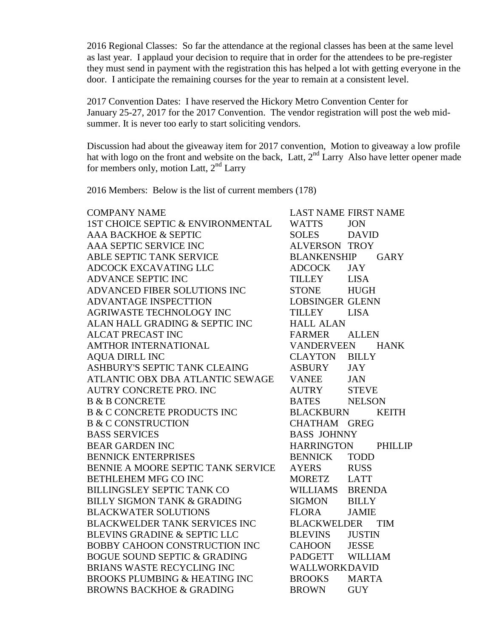2016 Regional Classes: So far the attendance at the regional classes has been at the same level as last year. I applaud your decision to require that in order for the attendees to be pre-register they must send in payment with the registration this has helped a lot with getting everyone in the door. I anticipate the remaining courses for the year to remain at a consistent level.

2017 Convention Dates: I have reserved the Hickory Metro Convention Center for January 25-27, 2017 for the 2017 Convention. The vendor registration will post the web midsummer. It is never too early to start soliciting vendors.

Discussion had about the giveaway item for 2017 convention, Motion to giveaway a low profile hat with logo on the front and website on the back, Latt, 2<sup>nd</sup> Larry Also have letter opener made for members only, motion Latt,  $2<sup>nd</sup>$  Larry

2016 Members: Below is the list of current members (178)

| <b>WATTS</b>   | <b>JON</b>    |                                                                                                                                                                                                                                                                                                                                                                                     |
|----------------|---------------|-------------------------------------------------------------------------------------------------------------------------------------------------------------------------------------------------------------------------------------------------------------------------------------------------------------------------------------------------------------------------------------|
| SOLES          | <b>DAVID</b>  |                                                                                                                                                                                                                                                                                                                                                                                     |
|                |               |                                                                                                                                                                                                                                                                                                                                                                                     |
|                |               |                                                                                                                                                                                                                                                                                                                                                                                     |
| <b>ADCOCK</b>  | <b>JAY</b>    |                                                                                                                                                                                                                                                                                                                                                                                     |
| TILLEY         | <b>LISA</b>   |                                                                                                                                                                                                                                                                                                                                                                                     |
| <b>STONE</b>   | <b>HUGH</b>   |                                                                                                                                                                                                                                                                                                                                                                                     |
|                |               |                                                                                                                                                                                                                                                                                                                                                                                     |
|                |               |                                                                                                                                                                                                                                                                                                                                                                                     |
|                |               |                                                                                                                                                                                                                                                                                                                                                                                     |
| FARMER         | <b>ALLEN</b>  |                                                                                                                                                                                                                                                                                                                                                                                     |
|                |               |                                                                                                                                                                                                                                                                                                                                                                                     |
|                |               |                                                                                                                                                                                                                                                                                                                                                                                     |
| ASBURY         | <b>JAY</b>    |                                                                                                                                                                                                                                                                                                                                                                                     |
| <b>VANEE</b>   | <b>JAN</b>    |                                                                                                                                                                                                                                                                                                                                                                                     |
|                | <b>STEVE</b>  |                                                                                                                                                                                                                                                                                                                                                                                     |
|                |               |                                                                                                                                                                                                                                                                                                                                                                                     |
|                |               | KEITH                                                                                                                                                                                                                                                                                                                                                                               |
|                |               |                                                                                                                                                                                                                                                                                                                                                                                     |
|                |               |                                                                                                                                                                                                                                                                                                                                                                                     |
|                |               |                                                                                                                                                                                                                                                                                                                                                                                     |
| <b>BENNICK</b> | <b>TODD</b>   |                                                                                                                                                                                                                                                                                                                                                                                     |
|                |               |                                                                                                                                                                                                                                                                                                                                                                                     |
|                |               |                                                                                                                                                                                                                                                                                                                                                                                     |
| WILLIAMS       | <b>BRENDA</b> |                                                                                                                                                                                                                                                                                                                                                                                     |
| SIGMON         | <b>BILLY</b>  |                                                                                                                                                                                                                                                                                                                                                                                     |
| FLORA          | <b>JAMIE</b>  |                                                                                                                                                                                                                                                                                                                                                                                     |
|                |               |                                                                                                                                                                                                                                                                                                                                                                                     |
| <b>BLEVINS</b> | <b>JUSTIN</b> |                                                                                                                                                                                                                                                                                                                                                                                     |
| CAHOON         | <b>JESSE</b>  |                                                                                                                                                                                                                                                                                                                                                                                     |
|                |               |                                                                                                                                                                                                                                                                                                                                                                                     |
|                |               |                                                                                                                                                                                                                                                                                                                                                                                     |
| <b>BROOKS</b>  | <b>MARTA</b>  |                                                                                                                                                                                                                                                                                                                                                                                     |
| <b>BROWN</b>   | <b>GUY</b>    |                                                                                                                                                                                                                                                                                                                                                                                     |
|                |               | <b>LAST NAME FIRST NAME</b><br><b>ALVERSON TROY</b><br>BLANKENSHIP GARY<br><b>LOBSINGER GLENN</b><br>TILLEY LISA<br><b>HALL ALAN</b><br>VANDERVEEN HANK<br><b>CLAYTON BILLY</b><br><b>AUTRY</b><br>BATES NELSON<br>BLACKBURN<br>CHATHAM GREG<br><b>BASS JOHNNY</b><br>HARRINGTON PHILLIP<br>AYERS RUSS<br>MORETZ LATT<br><b>BLACKWELDER TIM</b><br>PADGETT WILLIAM<br>WALLWORKDAVID |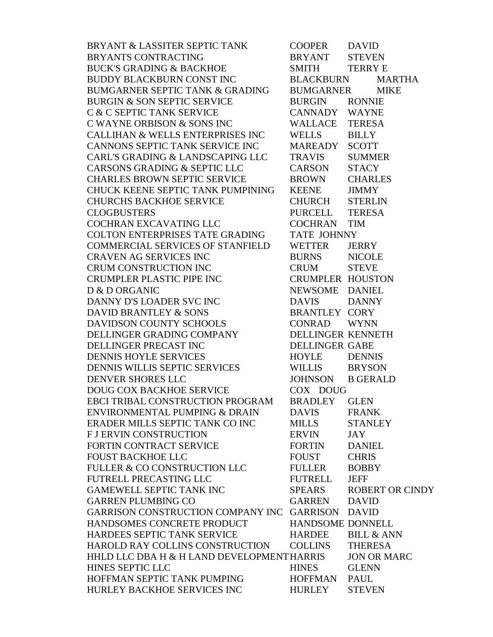| BRYANT & LASSITER SEPTIC TANK                                                       | COOPER DAVID            |                        |
|-------------------------------------------------------------------------------------|-------------------------|------------------------|
| BRYANTS CONTRACTING                                                                 | BRYANT                  | <b>STEVEN</b>          |
| <b>BUCK'S GRADING &amp; BACKHOE</b>                                                 | SMITH TERRY E           |                        |
| BUDDY BLACKBURN CONST INC                                                           | BLACKBURN               | MARTHA                 |
| BUMGARNER SEPTIC TANK & GRADING BUMGARNER MIKE                                      |                         |                        |
| <b>BURGIN &amp; SON SEPTIC SERVICE</b>                                              | BURGIN RONNIE           |                        |
| C & C SEPTIC TANK SERVICE                                                           | CANNADY WAYNE           |                        |
| C WAYNE ORBISON & SONS INC                                                          | WALLACE TERESA          |                        |
| CALLIHAN & WELLS ENTERPRISES INC                                                    | <b>WELLS</b>            | <b>BILLY</b>           |
| CANNONS SEPTIC TANK SERVICE INC                                                     | MAREADY SCOTT           |                        |
| CARL'S GRADING & LANDSCAPING LLC                                                    | <b>TRAVIS</b>           | <b>SUMMER</b>          |
| CARSONS GRADING & SEPTIC LLC                                                        | CARSON                  | <b>STACY</b>           |
| CHARLES BROWN SEPTIC SERVICE                                                        | <b>BROWN</b>            | <b>CHARLES</b>         |
| CHUCK KEENE SEPTIC TANK PUMPINING                                                   | <b>KEENE</b>            | <b>JIMMY</b>           |
| <b>CHURCHS BACKHOE SERVICE</b>                                                      | <b>CHURCH</b>           | <b>STERLIN</b>         |
| <b>CLOGBUSTERS</b>                                                                  | PURCELL TERESA          |                        |
| COCHRAN EXCAVATING LLC                                                              | COCHRAN TIM             |                        |
| COLTON ENTERPRISES TATE GRADING                                                     | TATE JOHNNY             |                        |
| COMMERCIAL SERVICES OF STANFIELD                                                    | WETTER                  | <b>JERRY</b>           |
| CRAVEN AG SERVICES INC                                                              | BURNS NICOLE            |                        |
| CRUM CONSTRUCTION INC                                                               | <b>CRUM</b>             | <b>STEVE</b>           |
|                                                                                     | <b>CRUMPLER HOUSTON</b> |                        |
| CRUM CONSTRUCTION INC<br>CRUMPLER PLASTIC PIPE INC<br>D & D ORGANIC                 | NEWSOME DANIEL          |                        |
| DANNY D'S LOADER SVC INC                                                            | DAVIS DANNY             |                        |
| DAVID BRANTLEY & SONS                                                               | <b>BRANTLEY CORY</b>    |                        |
| DAVIDSON COUNTY SCHOOLS                                                             | CONRAD WYNN             |                        |
| DELLINGER GRADING COMPANY DELLINGER KENNETH<br>DELLINGER PRECAST INC DELLINGER GABE |                         |                        |
|                                                                                     |                         |                        |
| <b>DENNIS HOYLE SERVICES</b>                                                        | HOYLE                   | <b>DENNIS</b>          |
| DENNIS WILLIS SEPTIC SERVICES<br>DENVER SHORES LLC<br>DOUG COX BACKHOE SERVICE      | WILLIS BRYSON           |                        |
|                                                                                     | JOHNSON B GERALD        |                        |
|                                                                                     | COX DOUG                |                        |
| EBCI TRIBAL CONSTRUCTION PROGRAM BRADLEY GLEN                                       |                         |                        |
| ENVIRONMENTAL PUMPING & DRAIN                                                       | <b>DAVIS</b>            | <b>FRANK</b>           |
| ERADER MILLS SEPTIC TANK CO INC                                                     | <b>MILLS</b>            | <b>STANLEY</b>         |
| <b>F J ERVIN CONSTRUCTION</b>                                                       | ERVIN                   | JAY                    |
| FORTIN CONTRACT SERVICE                                                             | FORTIN                  | <b>DANIEL</b>          |
| <b>FOUST BACKHOE LLC</b>                                                            | FOUST                   | <b>CHRIS</b>           |
| FULLER & CO CONSTRUCTION LLC                                                        | <b>FULLER</b>           | <b>BOBBY</b>           |
| FUTRELL PRECASTING LLC                                                              | FUTRELL                 | <b>JEFF</b>            |
| <b>GAMEWELL SEPTIC TANK INC</b>                                                     | <b>SPEARS</b>           | <b>ROBERT OR CINDY</b> |
| <b>GARREN PLUMBING CO</b>                                                           | GARREN                  | <b>DAVID</b>           |
| GARRISON CONSTRUCTION COMPANY INC GARRISON                                          |                         | <b>DAVID</b>           |
| HANDSOMES CONCRETE PRODUCT                                                          | HANDSOME DONNELL        |                        |
| HARDEES SEPTIC TANK SERVICE                                                         | <b>HARDEE</b>           | <b>BILL &amp; ANN</b>  |
| HAROLD RAY COLLINS CONSTRUCTION                                                     | COLLINS                 | <b>THERESA</b>         |
| HHLD LLC DBA H & H LAND DEVELOPMENTHARRIS                                           |                         | <b>JON OR MARC</b>     |
| HINES SEPTIC LLC                                                                    | <b>HINES</b>            | <b>GLENN</b>           |
| HOFFMAN SEPTIC TANK PUMPING                                                         | HOFFMAN                 | PAUL                   |
| HURLEY BACKHOE SERVICES INC                                                         | <b>HURLEY</b>           | <b>STEVEN</b>          |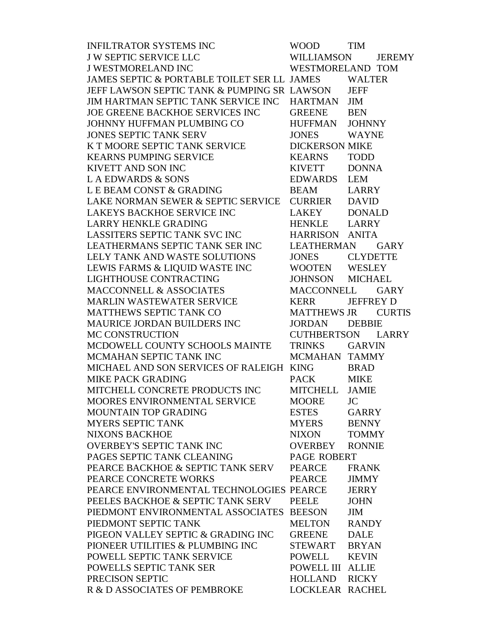| <b>INFILTRATOR SYSTEMS INC</b>                                       | <b>WOOD</b>           | <b>TIM</b>       |               |
|----------------------------------------------------------------------|-----------------------|------------------|---------------|
| <b>J W SEPTIC SERVICE LLC</b>                                        | <b>WILLIAMSON</b>     |                  | <b>JEREMY</b> |
| <b>J WESTMORELAND INC</b>                                            | WESTMORELAND TOM      |                  |               |
| JAMES SEPTIC & PORTABLE TOILET SER LL JAMES WALTER                   |                       |                  |               |
| JEFF LAWSON SEPTIC TANK & PUMPING SR LAWSON                          |                       | <b>JEFF</b>      |               |
| JIM HARTMAN SEPTIC TANK SERVICE INC                                  | <b>HARTMAN</b>        | JIM              |               |
| JOE GREENE BACKHOE SERVICES INC                                      | <b>GREENE</b>         | <b>BEN</b>       |               |
| JOHNNY HUFFMAN PLUMBING CO                                           | <b>HUFFMAN</b>        | <b>JOHNNY</b>    |               |
| <b>JONES SEPTIC TANK SERV</b>                                        | <b>JONES</b>          | <b>WAYNE</b>     |               |
| K T MOORE SEPTIC TANK SERVICE                                        | <b>DICKERSON MIKE</b> |                  |               |
| <b>KEARNS PUMPING SERVICE</b>                                        | KEARNS                | <b>TODD</b>      |               |
| <b>KIVETT AND SON INC</b>                                            | <b>KIVETT</b>         | <b>DONNA</b>     |               |
|                                                                      | EDWARDS LEM           |                  |               |
| KIVETT AND SON INC<br>L A EDWARDS & SONS<br>L E BEAM CONST & GRADING | <b>BEAM</b>           | <b>LARRY</b>     |               |
| LAKE NORMAN SEWER & SEPTIC SERVICE                                   | <b>CURRIER</b>        | <b>DAVID</b>     |               |
| LAKEYS BACKHOE SERVICE INC                                           | LAKEY                 | <b>DONALD</b>    |               |
| <b>LARRY HENKLE GRADING</b>                                          | HENKLE LARRY          |                  |               |
| <b>LASSITERS SEPTIC TANK SVC INC</b>                                 | HARRISON ANITA        |                  |               |
| LEATHERMANS SEPTIC TANK SER INC                                      | LEATHERMAN            |                  | <b>GARY</b>   |
| LELY TANK AND WASTE SOLUTIONS                                        | <b>JONES</b>          | <b>CLYDETTE</b>  |               |
| LEWIS FARMS & LIQUID WASTE INC                                       | WOOTEN WESLEY         |                  |               |
| LIGHTHOUSE CONTRACTING                                               | JOHNSON MICHAEL       |                  |               |
| <b>MACCONNELL &amp; ASSOCIATES</b>                                   | MACCONNELL            |                  | <b>GARY</b>   |
| MARLIN WASTEWATER SERVICE                                            | KERR                  | <b>JEFFREY D</b> |               |
| MATTHEWS SEPTIC TANK CO                                              | MATTHEWS JR CURTIS    |                  |               |
| MAURICE JORDAN BUILDERS INC                                          | JORDAN                | <b>DEBBIE</b>    |               |
| MC CONSTRUCTION                                                      | CUTHBERTSON LARRY     |                  |               |
| MCDOWELL COUNTY SCHOOLS MAINTE                                       | <b>TRINKS</b>         | GARVIN           |               |
| MCMAHAN SEPTIC TANK INC                                              | MCMAHAN TAMMY         |                  |               |
| MICHAEL AND SON SERVICES OF RALEIGH KING                             |                       | <b>BRAD</b>      |               |
| <b>MIKE PACK GRADING</b>                                             | <b>PACK</b>           | <b>MIKE</b>      |               |
| MITCHELL CONCRETE PRODUCTS INC                                       | MITCHELL JAMIE        |                  |               |
| MOORES ENVIRONMENTAL SERVICE                                         | MOORE JC              |                  |               |
| MOUNTAIN TOP GRADING                                                 | <b>ESTES</b>          | <b>GARRY</b>     |               |
| <b>MYERS SEPTIC TANK</b>                                             | <b>MYERS</b>          | <b>BENNY</b>     |               |
| <b>NIXONS BACKHOE</b>                                                | <b>NIXON</b>          | <b>TOMMY</b>     |               |
| <b>OVERBEY'S SEPTIC TANK INC</b>                                     | OVERBEY               | <b>RONNIE</b>    |               |
| PAGES SEPTIC TANK CLEANING                                           | PAGE ROBERT           |                  |               |
| PEARCE BACKHOE & SEPTIC TANK SERV                                    | <b>PEARCE</b>         | <b>FRANK</b>     |               |
| PEARCE CONCRETE WORKS                                                | PEARCE                | <b>JIMMY</b>     |               |
| PEARCE ENVIRONMENTAL TECHNOLOGIES PEARCE                             |                       | <b>JERRY</b>     |               |
| PEELES BACKHOE & SEPTIC TANK SERV                                    | PEELE                 | <b>JOHN</b>      |               |
| PIEDMONT ENVIRONMENTAL ASSOCIATES BEESON                             |                       | <b>JIM</b>       |               |
| PIEDMONT SEPTIC TANK                                                 | MELTON                | <b>RANDY</b>     |               |
| PIGEON VALLEY SEPTIC & GRADING INC                                   | <b>GREENE</b>         | <b>DALE</b>      |               |
| PIONEER UTILITIES & PLUMBING INC                                     | STEWART               | <b>BRYAN</b>     |               |
| POWELL SEPTIC TANK SERVICE                                           | POWELL                | <b>KEVIN</b>     |               |
| POWELLS SEPTIC TANK SER                                              | POWELL III ALLIE      |                  |               |
| PRECISON SEPTIC                                                      | HOLLAND               | <b>RICKY</b>     |               |
| R & D ASSOCIATES OF PEMBROKE                                         | LOCKLEAR RACHEL       |                  |               |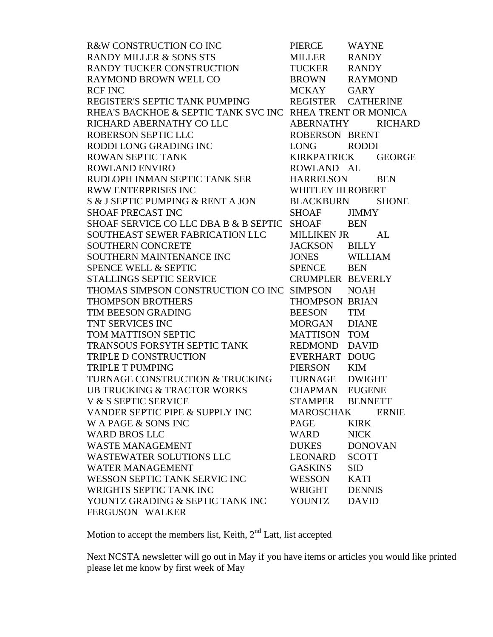| R&W CONSTRUCTION CO INC<br>RANDY MILLER & SONS STS                           | PIERCE                    | <b>WAYNE</b>       |  |
|------------------------------------------------------------------------------|---------------------------|--------------------|--|
|                                                                              | MILLER                    | <b>RANDY</b>       |  |
| RANDY TUCKER CONSTRUCTION                                                    | TUCKER RANDY              |                    |  |
| RAYMOND BROWN WELL CO                                                        | BROWN RAYMOND             |                    |  |
| <b>RCF INC</b>                                                               | MCKAY GARY                |                    |  |
| REGISTER'S SEPTIC TANK PUMPING                                               |                           | REGISTER CATHERINE |  |
| RHEA'S BACKHOE & SEPTIC TANK SVC INC RHEA TRENT OR MONICA                    |                           |                    |  |
| RICHARD ABERNATHY CO LLC                                                     | <b>ABERNATHY</b>          | <b>RICHARD</b>     |  |
| ROBERSON SEPTIC LLC                                                          | ROBERSON BRENT            |                    |  |
| RODDI LONG GRADING INC                                                       | LONG RODDI                |                    |  |
| ROWAN SEPTIC TANK                                                            |                           | KIRKPATRICK GEORGE |  |
| <b>ROWLAND ENVIRO</b>                                                        | ROWLAND AL                |                    |  |
| RUDLOPH INMAN SEPTIC TANK SER                                                | HARRELSON BEN             |                    |  |
| <b>RWW ENTERPRISES INC</b>                                                   | <b>WHITLEY III ROBERT</b> |                    |  |
| S & J SEPTIC PUMPING & RENT A JON                                            |                           | BLACKBURN SHONE    |  |
| SHOAF PRECAST INC                                                            | SHOAF                     | <b>JIMMY</b>       |  |
| SHOAF SERVICE COLLC DBA B & B SEPTIC SHOAF BEN                               |                           |                    |  |
| SOUTHEAST SEWER FABRICATION LLC                                              | MILLIKEN JR AL            |                    |  |
| <b>SOUTHERN CONCRETE</b>                                                     | JACKSON BILLY             |                    |  |
| SOUTHERN MAINTENANCE INC<br>SPENCE WELL & SEPTIC<br>STALLINGS SEPTIC SERVICE | JONES WILLIAM             |                    |  |
|                                                                              | SPENCE BEN                |                    |  |
|                                                                              | <b>CRUMPLER BEVERLY</b>   |                    |  |
| THOMAS SIMPSON CONSTRUCTION CO INC SIMPSON NOAH                              |                           |                    |  |
| <b>THOMPSON BROTHERS</b>                                                     | THOMPSON BRIAN            |                    |  |
| <b>TIM BEESON GRADING</b>                                                    | <b>BEESON</b>             | <b>TIM</b>         |  |
| TNT SERVICES INC                                                             | MORGAN                    | <b>DIANE</b>       |  |
| TOM MATTISON SEPTIC                                                          | MATTISON TOM              |                    |  |
| TRANSOUS FORSYTH SEPTIC TANK REDMOND DAVID                                   |                           |                    |  |
| TRIPLE D CONSTRUCTION                                                        | EVERHART DOUG             |                    |  |
| <b>TRIPLE T PUMPING</b>                                                      | PIERSON KIM               |                    |  |
| TURNAGE CONSTRUCTION & TRUCKING                                              | TURNAGE DWIGHT            |                    |  |
| <b>UB TRUCKING &amp; TRACTOR WORKS</b>                                       | <b>CHAPMAN EUGENE</b>     |                    |  |
| V & S SEPTIC SERVICE                                                         | STAMPER BENNETT           |                    |  |
| VANDER SEPTIC PIPE & SUPPLY INC                                              | <b>MAROSCHAK</b>          | <b>ERNIE</b>       |  |
| W A PAGE & SONS INC                                                          | PAGE                      | <b>KIRK</b>        |  |
| <b>WARD BROS LLC</b>                                                         | WARD                      | <b>NICK</b>        |  |
| <b>WASTE MANAGEMENT</b>                                                      | <b>DUKES</b>              | <b>DONOVAN</b>     |  |
| <b>WASTEWATER SOLUTIONS LLC</b>                                              | LEONARD                   | <b>SCOTT</b>       |  |
| <b>WATER MANAGEMENT</b>                                                      | GASKINS                   | <b>SID</b>         |  |
| WESSON SEPTIC TANK SERVIC INC                                                | WESSON                    | <b>KATI</b>        |  |
| WRIGHTS SEPTIC TANK INC                                                      | WRIGHT                    | <b>DENNIS</b>      |  |
| YOUNTZ GRADING & SEPTIC TANK INC                                             | YOUNTZ                    | <b>DAVID</b>       |  |
| FERGUSON WALKER                                                              |                           |                    |  |

Motion to accept the members list, Keith, 2<sup>nd</sup> Latt, list accepted

Next NCSTA newsletter will go out in May if you have items or articles you would like printed please let me know by first week of May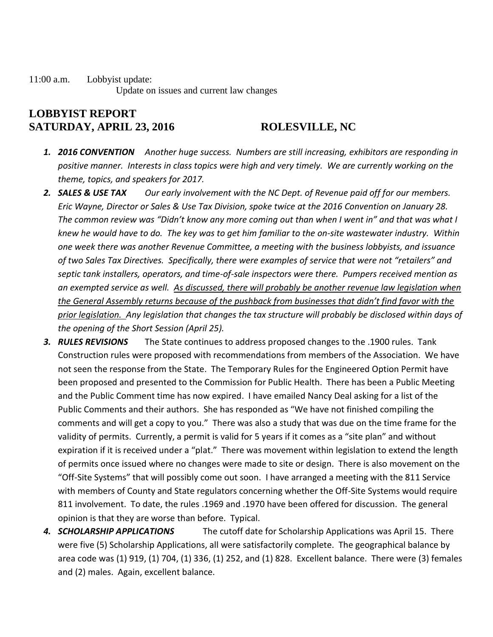11:00 a.m. Lobbyist update: Update on issues and current law changes

## **LOBBYIST REPORT SATURDAY, APRIL 23, 2016 ROLESVILLE, NC**

- *1. 2016 CONVENTION Another huge success. Numbers are still increasing, exhibitors are responding in positive manner. Interests in class topics were high and very timely. We are currently working on the theme, topics, and speakers for 2017.*
- *2. SALES & USE TAX Our early involvement with the NC Dept. of Revenue paid off for our members. Eric Wayne, Director or Sales & Use Tax Division, spoke twice at the 2016 Convention on January 28. The common review was "Didn't know any more coming out than when I went in" and that was what I knew he would have to do. The key was to get him familiar to the on-site wastewater industry. Within one week there was another Revenue Committee, a meeting with the business lobbyists, and issuance of two Sales Tax Directives. Specifically, there were examples of service that were not "retailers" and septic tank installers, operators, and time-of-sale inspectors were there. Pumpers received mention as an exempted service as well. As discussed, there will probably be another revenue law legislation when the General Assembly returns because of the pushback from businesses that didn't find favor with the prior legislation. Any legislation that changes the tax structure will probably be disclosed within days of the opening of the Short Session (April 25).*
- *3. RULES REVISIONS* The State continues to address proposed changes to the .1900 rules. Tank Construction rules were proposed with recommendations from members of the Association. We have not seen the response from the State. The Temporary Rules for the Engineered Option Permit have been proposed and presented to the Commission for Public Health. There has been a Public Meeting and the Public Comment time has now expired. I have emailed Nancy Deal asking for a list of the Public Comments and their authors. She has responded as "We have not finished compiling the comments and will get a copy to you." There was also a study that was due on the time frame for the validity of permits. Currently, a permit is valid for 5 years if it comes as a "site plan" and without expiration if it is received under a "plat." There was movement within legislation to extend the length of permits once issued where no changes were made to site or design. There is also movement on the "Off-Site Systems" that will possibly come out soon. I have arranged a meeting with the 811 Service with members of County and State regulators concerning whether the Off-Site Systems would require 811 involvement. To date, the rules .1969 and .1970 have been offered for discussion. The general opinion is that they are worse than before. Typical.
- *4. SCHOLARSHIP APPLICATIONS* The cutoff date for Scholarship Applications was April 15. There were five (5) Scholarship Applications, all were satisfactorily complete. The geographical balance by area code was (1) 919, (1) 704, (1) 336, (1) 252, and (1) 828. Excellent balance. There were (3) females and (2) males. Again, excellent balance.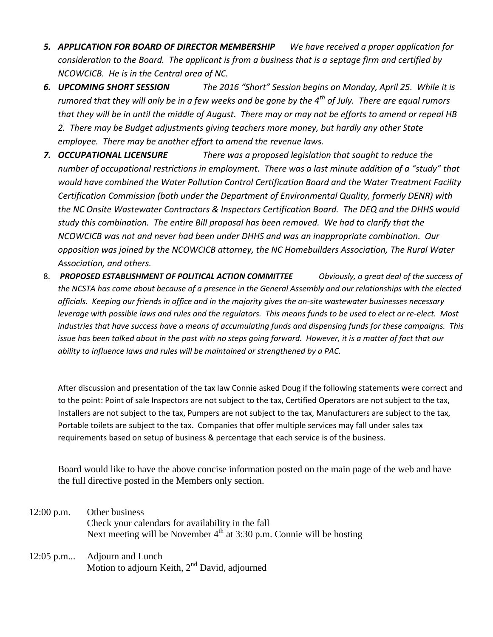- *5. APPLICATION FOR BOARD OF DIRECTOR MEMBERSHIP We have received a proper application for consideration to the Board. The applicant is from a business that is a septage firm and certified by NCOWCICB. He is in the Central area of NC.*
- *6. UPCOMING SHORT SESSION The 2016 "Short" Session begins on Monday, April 25. While it is rumored that they will only be in a few weeks and be gone by the 4th of July. There are equal rumors that they will be in until the middle of August. There may or may not be efforts to amend or repeal HB 2. There may be Budget adjustments giving teachers more money, but hardly any other State employee. There may be another effort to amend the revenue laws.*
- *7. OCCUPATIONAL LICENSURE There was a proposed legislation that sought to reduce the number of occupational restrictions in employment. There was a last minute addition of a "study" that would have combined the Water Pollution Control Certification Board and the Water Treatment Facility Certification Commission (both under the Department of Environmental Quality, formerly DENR) with the NC Onsite Wastewater Contractors & Inspectors Certification Board. The DEQ and the DHHS would study this combination. The entire Bill proposal has been removed. We had to clarify that the NCOWCICB was not and never had been under DHHS and was an inappropriate combination. Our opposition was joined by the NCOWCICB attorney, the NC Homebuilders Association, The Rural Water Association, and others.*
- 8. *PROPOSED ESTABLISHMENT OF POLITICAL ACTION COMMITTEE Obviously, a great deal of the success of the NCSTA has come about because of a presence in the General Assembly and our relationships with the elected officials. Keeping our friends in office and in the majority gives the on-site wastewater businesses necessary leverage with possible laws and rules and the regulators. This means funds to be used to elect or re-elect. Most industries that have success have a means of accumulating funds and dispensing funds for these campaigns. This issue has been talked about in the past with no steps going forward. However, it is a matter of fact that our ability to influence laws and rules will be maintained or strengthened by a PAC.*

After discussion and presentation of the tax law Connie asked Doug if the following statements were correct and to the point: Point of sale Inspectors are not subject to the tax, Certified Operators are not subject to the tax, Installers are not subject to the tax, Pumpers are not subject to the tax, Manufacturers are subject to the tax, Portable toilets are subject to the tax. Companies that offer multiple services may fall under sales tax requirements based on setup of business & percentage that each service is of the business.

Board would like to have the above concise information posted on the main page of the web and have the full directive posted in the Members only section.

- 12:00 p.m. Other business Check your calendars for availability in the fall Next meeting will be November  $4<sup>th</sup>$  at 3:30 p.m. Connie will be hosting
- 12:05 p.m... Adjourn and Lunch Motion to adjourn Keith, 2nd David, adjourned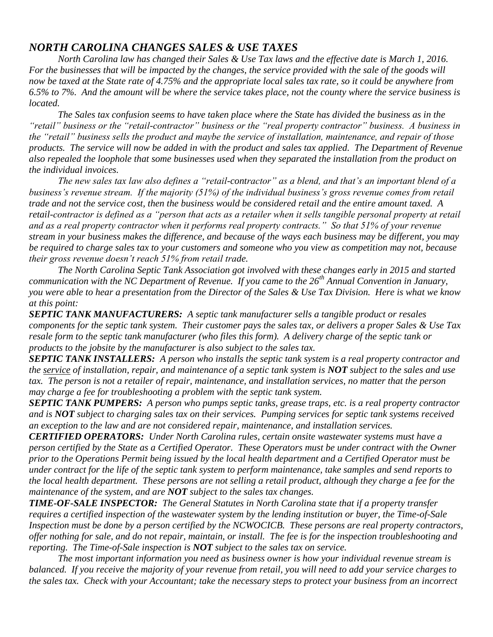## *NORTH CAROLINA CHANGES SALES & USE TAXES*

*North Carolina law has changed their Sales & Use Tax laws and the effective date is March 1, 2016. For the businesses that will be impacted by the changes, the service provided with the sale of the goods will now be taxed at the State rate of 4.75% and the appropriate local sales tax rate, so it could be anywhere from 6.5% to 7%. And the amount will be where the service takes place, not the county where the service business is located.*

*The Sales tax confusion seems to have taken place where the State has divided the business as in the "retail" business or the "retail-contractor" business or the "real property contractor" business. A business in the "retail" business sells the product and maybe the service of installation, maintenance, and repair of those products. The service will now be added in with the product and sales tax applied. The Department of Revenue also repealed the loophole that some businesses used when they separated the installation from the product on the individual invoices.* 

*The new sales tax law also defines a "retail-contractor" as a blend, and that's an important blend of a business's revenue stream. If the majority (51%) of the individual business's gross revenue comes from retail trade and not the service cost, then the business would be considered retail and the entire amount taxed. A retail-contractor is defined as a "person that acts as a retailer when it sells tangible personal property at retail and as a real property contractor when it performs real property contracts." So that 51% of your revenue stream in your business makes the difference, and because of the ways each business may be different, you may be required to charge sales tax to your customers and someone who you view as competition may not, because their gross revenue doesn't reach 51% from retail trade.*

*The North Carolina Septic Tank Association got involved with these changes early in 2015 and started communication with the NC Department of Revenue. If you came to the 26th Annual Convention in January, you were able to hear a presentation from the Director of the Sales & Use Tax Division. Here is what we know at this point:*

*SEPTIC TANK MANUFACTURERS: A septic tank manufacturer sells a tangible product or resales components for the septic tank system. Their customer pays the sales tax, or delivers a proper Sales & Use Tax resale form to the septic tank manufacturer (who files this form). A delivery charge of the septic tank or products to the jobsite by the manufacturer is also subject to the sales tax.*

*SEPTIC TANK INSTALLERS: A person who installs the septic tank system is a real property contractor and the service of installation, repair, and maintenance of a septic tank system is NOT subject to the sales and use tax. The person is not a retailer of repair, maintenance, and installation services, no matter that the person may charge a fee for troubleshooting a problem with the septic tank system.*

*SEPTIC TANK PUMPERS: A person who pumps septic tanks, grease traps, etc. is a real property contractor and is NOT subject to charging sales tax on their services. Pumping services for septic tank systems received an exception to the law and are not considered repair, maintenance, and installation services.*

*CERTIFIED OPERATORS: Under North Carolina rules, certain onsite wastewater systems must have a person certified by the State as a Certified Operator. These Operators must be under contract with the Owner prior to the Operations Permit being issued by the local health department and a Certified Operator must be under contract for the life of the septic tank system to perform maintenance, take samples and send reports to the local health department. These persons are not selling a retail product, although they charge a fee for the maintenance of the system, and are NOT subject to the sales tax changes.*

*TIME-OF-SALE INSPECTOR: The General Statutes in North Carolina state that if a property transfer requires a certified inspection of the wastewater system by the lending institution or buyer, the Time-of-Sale Inspection must be done by a person certified by the NCWOCICB. These persons are real property contractors, offer nothing for sale, and do not repair, maintain, or install. The fee is for the inspection troubleshooting and reporting. The Time-of-Sale inspection is NOT subject to the sales tax on service.*

*The most important information you need as business owner is how your individual revenue stream is balanced. If you receive the majority of your revenue from retail, you will need to add your service charges to the sales tax. Check with your Accountant; take the necessary steps to protect your business from an incorrect*